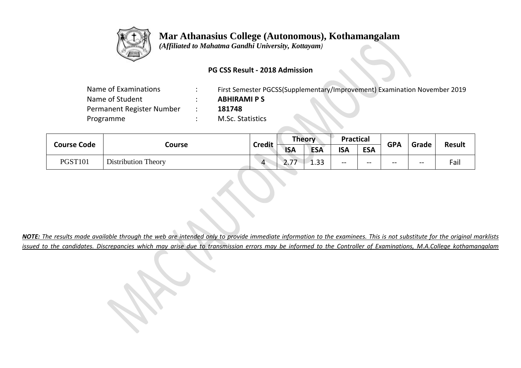

 *(Affiliated to Mahatma Gandhi University, Kottayam)*

## **PG CSS Result - 2018 Admission**

| Name of Examinations      | First Semester PGCSS(Supplementary/Improvement) Examination November 2019 |
|---------------------------|---------------------------------------------------------------------------|
| Name of Student           | <b>ABHIRAMI PS</b>                                                        |
| Permanent Register Number | 181748                                                                    |
| Programme                 | M.Sc. Statistics                                                          |
|                           |                                                                           |

| <b>Course Code</b> | Course                     |                         | <b>Theory</b> |            | <b>Practical</b> |            | <b>GPA</b> | Grade | <b>Result</b> |
|--------------------|----------------------------|-------------------------|---------------|------------|------------------|------------|------------|-------|---------------|
|                    |                            | <b>Credit</b>           | <b>ISA</b>    | <b>ESA</b> | <b>ISA</b>       | <b>ESA</b> |            |       |               |
| <b>PGST101</b>     | <b>Distribution Theory</b> | $\overline{\mathbf{A}}$ | --<br>$\sim$  | 1.33       | --               | $- -$      | $- -$      | $- -$ | Fail          |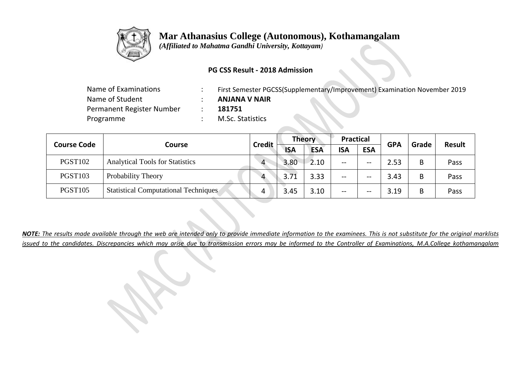

 *(Affiliated to Mahatma Gandhi University, Kottayam)*

## **PG CSS Result - 2018 Admission**

| Name of Examinations      | First Semester PGCSS(Supplementary/Improvement) Examination November 2019 |
|---------------------------|---------------------------------------------------------------------------|
| Name of Student           | <b>ANJANA V NAIR</b>                                                      |
| Permanent Register Number | 181751                                                                    |
| Programme                 | M.Sc. Statistics                                                          |

|                    |                                             |                | <b>Theory</b> |            | <b>Practical</b> |            | <b>GPA</b> | Grade | <b>Result</b> |
|--------------------|---------------------------------------------|----------------|---------------|------------|------------------|------------|------------|-------|---------------|
| <b>Course Code</b> | Course                                      | <b>Credit</b>  | <b>ISA</b>    | <b>ESA</b> | <b>ISA</b>       | <b>ESA</b> |            |       |               |
| <b>PGST102</b>     | <b>Analytical Tools for Statistics</b>      | $\overline{4}$ | 3.80          | 2.10       | --               | --         | 2.53       | B     | Pass          |
| <b>PGST103</b>     | Probability Theory                          | $\Delta$       | 3.71          | 3.33       | --               | --         | 3.43       | B     | Pass          |
| <b>PGST105</b>     | <b>Statistical Computational Techniques</b> | 4              | 3.45          | 3.10       | --               | --         | 3.19       | В     | Pass          |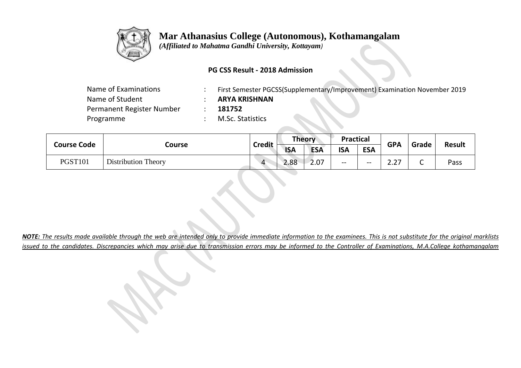

 *(Affiliated to Mahatma Gandhi University, Kottayam)*

## **PG CSS Result - 2018 Admission**

| Name of Examinations      | First Semester PGCSS(Supplementary/Improvement) Examination November 2019 |
|---------------------------|---------------------------------------------------------------------------|
| Name of Student           | <b>ARYA KRISHNAN</b>                                                      |
| Permanent Register Number | 181752                                                                    |
| Programme                 | M.Sc. Statistics                                                          |
|                           |                                                                           |

|                    | Course                     |                | <b>Theory</b> |            | <b>Practical</b> |            | <b>GPA</b>  | Grade | <b>Result</b> |
|--------------------|----------------------------|----------------|---------------|------------|------------------|------------|-------------|-------|---------------|
| <b>Course Code</b> |                            | <b>Credit</b>  | <b>ISA</b>    | <b>ESA</b> | <b>ISA</b>       | <b>ESA</b> |             |       |               |
| <b>PGST101</b>     | <b>Distribution Theory</b> | $\overline{A}$ | 2.88          | 2.07       | --               | $- -$      | — ה<br>Z.Z. | ֊     | Pass          |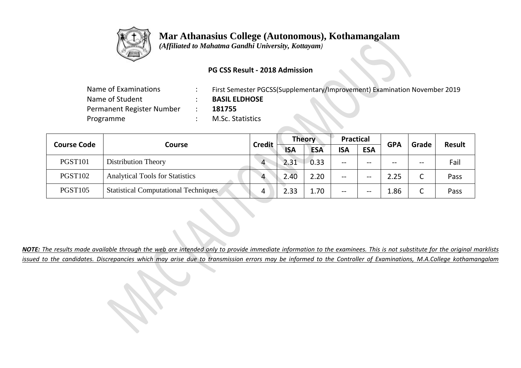

 *(Affiliated to Mahatma Gandhi University, Kottayam)*

## **PG CSS Result - 2018 Admission**

| Name of Examinations      | First Semester PGCSS(Supplementary/Improvement) Examination November 2019 |
|---------------------------|---------------------------------------------------------------------------|
| Name of Student           | <b>BASIL ELDHOSE</b>                                                      |
| Permanent Register Number | 181755                                                                    |
| Programme                 | M.Sc. Statistics                                                          |
|                           |                                                                           |

| <b>Course Code</b> |                                             |               | <b>Theory</b> |            | <b>Practical</b> |            | <b>GPA</b> | Grade           | <b>Result</b> |
|--------------------|---------------------------------------------|---------------|---------------|------------|------------------|------------|------------|-----------------|---------------|
|                    | Course                                      | <b>Credit</b> | <b>ISA</b>    | <b>ESA</b> | <b>ISA</b>       | <b>ESA</b> |            |                 |               |
| <b>PGST101</b>     | <b>Distribution Theory</b>                  | $\Delta$      | 2.31          | 0.33       | --               | $- -$      | $- -$      | $- -$           | Fail          |
| <b>PGST102</b>     | <b>Analytical Tools for Statistics</b>      | $\Delta$      | 2.40          | 2.20       | --               | --         | 2.25       | r<br>֊          | Pass          |
| <b>PGST105</b>     | <b>Statistical Computational Techniques</b> |               | 2.33          | ⊥.70       | --               | --         | 1.86       | $\sqrt{2}$<br>֊ | Pass          |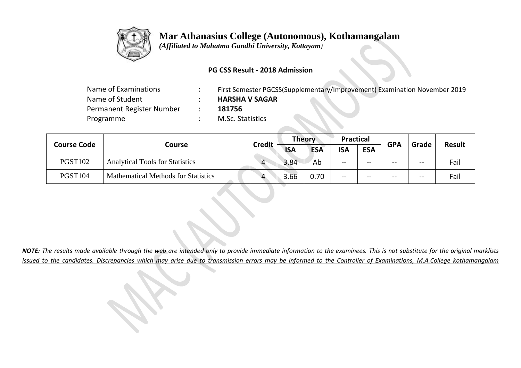

 *(Affiliated to Mahatma Gandhi University, Kottayam)*

## **PG CSS Result - 2018 Admission**

| Name of Examinations      | First Semester PGCSS(Supplementary/Improvement) Examination November 2019 |
|---------------------------|---------------------------------------------------------------------------|
| Name of Student           | <b>HARSHA V SAGAR</b>                                                     |
| Permanent Register Number | 181756                                                                    |
| Programme                 | <b>M.Sc. Statistics</b>                                                   |
|                           |                                                                           |

| <b>Course Code</b> |                                            |           | <b>Theory</b><br><b>Credit</b> |            | <b>Practical</b> |            | <b>GPA</b> |       | <b>Result</b> |  |
|--------------------|--------------------------------------------|-----------|--------------------------------|------------|------------------|------------|------------|-------|---------------|--|
|                    | Course                                     |           | <b>ISA</b>                     | <b>ESA</b> | <b>ISA</b>       | <b>ESA</b> |            | Grade |               |  |
| <b>PGST102</b>     | <b>Analytical Tools for Statistics</b>     | $\Delta$  | 3.84                           | Ab         | $- -$            | $- -$      | --         | $- -$ | Fail          |  |
| <b>PGST104</b>     | <b>Mathematical Methods for Statistics</b> | $\Lambda$ | 3.66                           | 0.70       | $- -$            | $- -$      | --         | $- -$ | Fail          |  |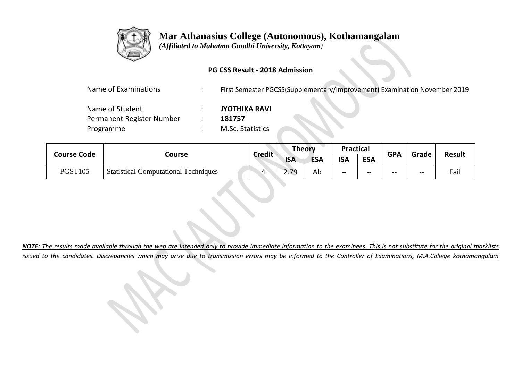

 *(Affiliated to Mahatma Gandhi University, Kottayam)*

## **PG CSS Result - 2018 Admission**

| Name of Examinations |  | First Semester PGCSS(Supplementary/Improvement) Examination November 2019 |
|----------------------|--|---------------------------------------------------------------------------|
|----------------------|--|---------------------------------------------------------------------------|

| Name of Student           | <b>JYOTHIKA RAVI</b> |
|---------------------------|----------------------|
| Permanent Register Number | 181757               |
| Programme                 | M.Sc. Statistics     |

|                |                                             | <b>Credit</b> |            | Theory     | <b>Practical</b> |            |            |       | <b>Result</b> |
|----------------|---------------------------------------------|---------------|------------|------------|------------------|------------|------------|-------|---------------|
| Course Code    | Course                                      |               | <b>ISA</b> | <b>ESA</b> | <b>ISA</b>       | <b>ESA</b> | <b>GPA</b> | Grade |               |
| <b>PGST105</b> | <b>Statistical Computational Techniques</b> | 4             | 2.79       | Ab         | --               | $- -$      | --         | $- -$ | Fail          |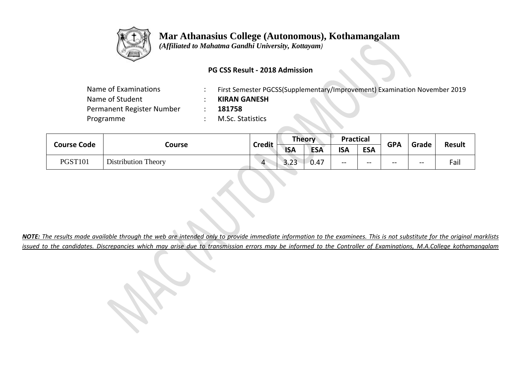

 *(Affiliated to Mahatma Gandhi University, Kottayam)*

## **PG CSS Result - 2018 Admission**

| Name of Examinations      | First Semester PGCSS(Supplementary/Improvement) Examination November 2019 |
|---------------------------|---------------------------------------------------------------------------|
| Name of Student           | <b>KIRAN GANESH</b>                                                       |
| Permanent Register Number | 181758                                                                    |
| Programme                 | M.Sc. Statistics                                                          |
|                           |                                                                           |

| <b>Course Code</b> |                            | <b>Credit</b>  |                           | Theory     |            |            | <b>Practical</b> |       | <b>GPA</b> | Grade | <b>Result</b> |
|--------------------|----------------------------|----------------|---------------------------|------------|------------|------------|------------------|-------|------------|-------|---------------|
|                    | Course                     |                | <b>ISA</b>                | <b>ESA</b> | <b>ISA</b> | <b>ESA</b> |                  |       |            |       |               |
| <b>PGST101</b>     | <b>Distribution Theory</b> | $\overline{4}$ | $\mathbin{\lnot}$<br>o.zo | 0.47       | $- -$      | $- -$      | $- -$            | $- -$ | Fail       |       |               |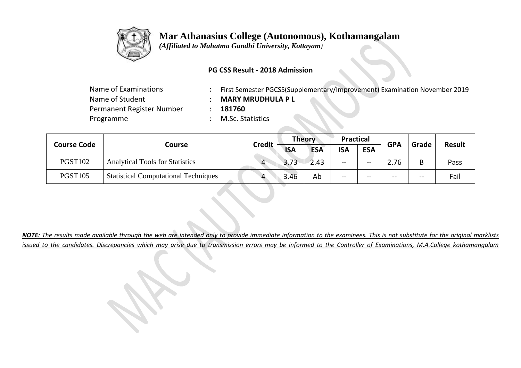

 *(Affiliated to Mahatma Gandhi University, Kottayam)*

## **PG CSS Result - 2018 Admission**

| Name of Examinations      | First Semester PGCSS(Supplementary/Improvement) Examination November 2019 |
|---------------------------|---------------------------------------------------------------------------|
| Name of Student           | <b>MARY MRUDHULA P L</b>                                                  |
| Permanent Register Number | 181760                                                                    |
| Programme                 | M.Sc. Statistics                                                          |

|                | <b>Course Code</b><br>Course                |          | <b>Theory</b>               |      | <b>Practical</b> |            | <b>GPA</b> | Grade | <b>Result</b> |
|----------------|---------------------------------------------|----------|-----------------------------|------|------------------|------------|------------|-------|---------------|
|                |                                             |          | <b>Credit</b><br><b>ISA</b> |      | <b>ISA</b>       | <b>ESA</b> |            |       |               |
| <b>PGST102</b> | <b>Analytical Tools for Statistics</b>      | $\Delta$ | 3.73                        | 2.43 | --               | $- -$      | 2.76       | B     | Pass          |
| <b>PGST105</b> | <b>Statistical Computational Techniques</b> |          | 3.46                        | Ab   | --               | $- -$      | $- -$      | $- -$ | Fail          |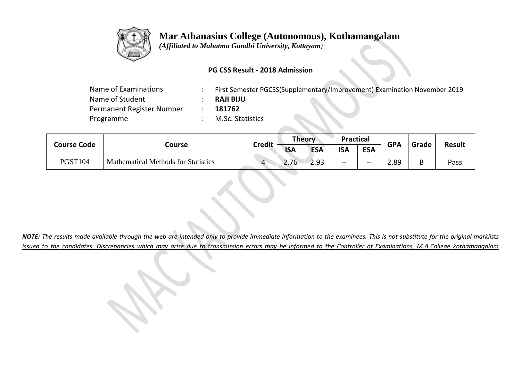

 *(Affiliated to Mahatma Gandhi University, Kottayam)*

## **PG CSS Result - 2018 Admission**

| Name of Examinations      | First Semester PGCSS(Supplementary/Improvement) Examination November 2019 |
|---------------------------|---------------------------------------------------------------------------|
| Name of Student           | <b>RAJI BIJU</b>                                                          |
| Permanent Register Number | 181762                                                                    |
| Programme                 | M.Sc. Statistics                                                          |
|                           |                                                                           |

| <b>Course Code</b> |                                            | Theory<br><b>Credit</b> |            |            | <b>Practical</b> |            | Grade      | <b>Result</b> |      |
|--------------------|--------------------------------------------|-------------------------|------------|------------|------------------|------------|------------|---------------|------|
|                    | Course                                     |                         | <b>ISA</b> | <b>ESA</b> | <b>ISA</b>       | <b>ESA</b> | <b>GPA</b> |               |      |
| <b>PGST104</b>     | <b>Mathematical Methods for Statistics</b> | $\Lambda$               | 2.76       | 2.93       | $- -$            | $- -$      | 2.89       | D             | Pass |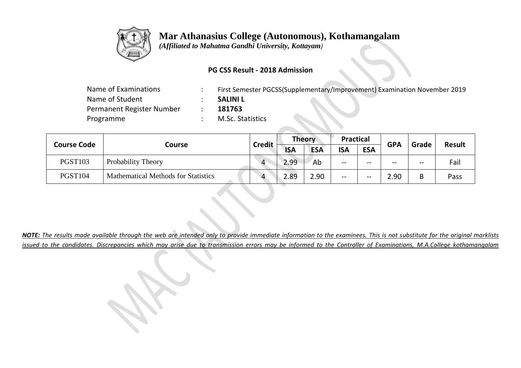

 *(Affiliated to Mahatma Gandhi University, Kottayam)*

#### **PG CSS Result - 2018 Admission**

| Name of Examinations      | First Semester PGCSS(Supplementary/Improvement) Examination November 2019 |
|---------------------------|---------------------------------------------------------------------------|
| Name of Student           | <b>SALINI L</b>                                                           |
| Permanent Register Number | 181763                                                                    |
| Programme                 | M.Sc. Statistics                                                          |
|                           |                                                                           |

| <b>Course Code</b> |                                            | <b>Credit</b>  | <b>Theory</b> |            | <b>Practical</b> |            | <b>GPA</b> | Grade | <b>Result</b> |
|--------------------|--------------------------------------------|----------------|---------------|------------|------------------|------------|------------|-------|---------------|
|                    | Course                                     |                | <b>ISA</b>    | <b>ESA</b> | <b>ISA</b>       | <b>ESA</b> |            |       |               |
| <b>PGST103</b>     | Probability Theory                         | $\overline{4}$ | 2.99          | Ab         | --               | $- -$      | $- -$      | $- -$ | Fail          |
| <b>PGST104</b>     | <b>Mathematical Methods for Statistics</b> | Δ              | 2.89          | 2.90       | --               | $- -$      | 2.90       | B     | Pass          |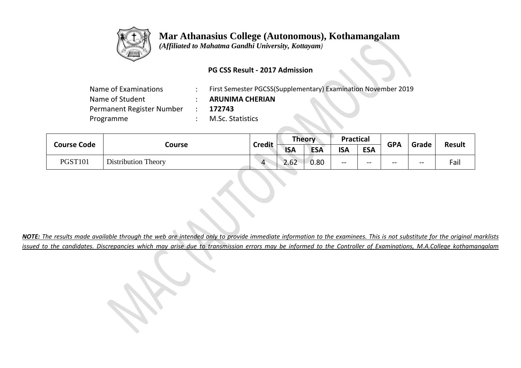

 *(Affiliated to Mahatma Gandhi University, Kottayam)*

## **PG CSS Result - 2017 Admission**

| Name of Examinations      | First Semester PGCSS(Supplementary) Examination November 2019 |
|---------------------------|---------------------------------------------------------------|
| Name of Student           | <b>ARUNIMA CHERIAN</b>                                        |
| Permanent Register Number | 172743                                                        |
| Programme                 | M.Sc. Statistics                                              |
|                           |                                                               |

| <b>Course Code</b> |                            |           |            | Theory<br><b>Credit</b> |            | <b>Practical</b> |       | <b>GPA</b> | Grade | <b>Result</b> |
|--------------------|----------------------------|-----------|------------|-------------------------|------------|------------------|-------|------------|-------|---------------|
|                    | Course                     |           | <b>ISA</b> | <b>ESA</b>              | <b>ISA</b> | <b>ESA</b>       |       |            |       |               |
| <b>PGST101</b>     | <b>Distribution Theory</b> | $\Lambda$ | 2.62       | 0.80                    | $- -$      | $- -$            | $- -$ | $- -$      | Fail  |               |